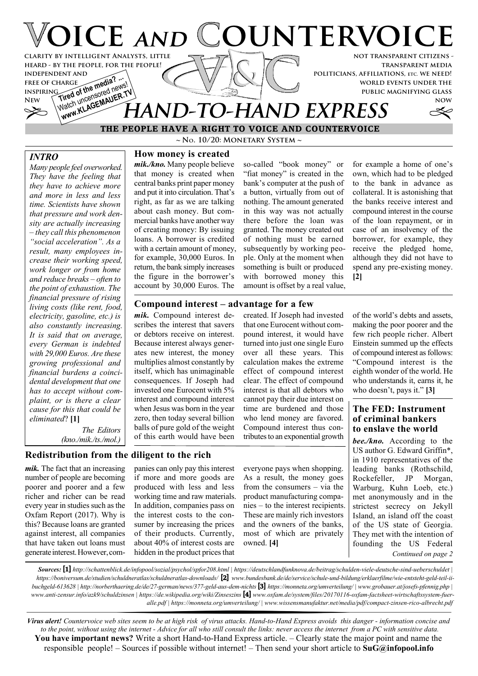

**~ No. 10/20: Monetary System ~ THE PEOPLE HAVE A RIGHT TO VOICE AND COUNTERVOICE**

# *INTRO*

*Many people feel overworked. They have the feeling that they have to achieve more and more in less and less time. Scientists have shown that pressure and work density are actually increasing – they call this phenomenon "social acceleration". As a result, many employees increase their working speed, work longer or from home and reduce breaks – often to the point of exhaustion. The financial pressure of rising living costs (like rent, food, electricity, gasoline, etc.) is also constantly increasing. It is said that on average, every German is indebted with 29,000 Euros. Are these growing professional and financial burdens a coincidental development that one has to accept without complaint, or is there a clear cause for this that could be eliminated*? **[1]**

**How money is created**

*mik./kno.* Many people believe that money is created when central banks print paper money and put it into circulation. That's right, as far as we are talking about cash money. But commercial banks have another way of creating money: By issuing loans. A borrower is credited with a certain amount of money, for example, 30,000 Euros. In return, the bank simply increases the figure in the borrower's account by 30,000 Euros. The

so-called "book money" or "fiat money" is created in the bank's computer at the push of a button, virtually from out of nothing. The amount generated in this way was not actually there before the loan was granted. The money created out of nothing must be earned subsequently by working people. Only at the moment when something is built or produced with borrowed money this amount is offset by a real value, for example a home of one's own, which had to be pledged to the bank in advance as collateral. It is astonishing that the banks receive interest and compound interest in the course of the loan repayment, or in case of an insolvency of the borrower, for example, they receive the pledged home, although they did not have to spend any pre-existing money. **[2]**

### **Compound interest – advantage for a few**

*mik.* Compound interest describes the interest that savers or debtors receive on interest. Because interest always generates new interest, the money multiplies almost constantly by itself, which has unimaginable consequences. If Joseph had invested one Eurocent with 5% interest and compound interest when Jesus was born in the year zero, then today several billion balls of pure gold of the weight of this earth would have been

created. If Joseph had invested that one Eurocent without compound interest, it would have turned into just one single Euro over all these years. This calculation makes the extreme effect of compound interest clear. The effect of compound interest is that all debtors who cannot pay their due interest on time are burdened and those who lend money are favored. Compound interest thus contributes to an exponential growth

of the world's debts and assets, making the poor poorer and the few rich people richer. Albert Einstein summed up the effects of compound interest as follows: "Compound interest is the eighth wonder of the world. He who understands it, earns it, he who doesn't, pays it." **[3]**

### **The FED: Instrument of criminal bankers to enslave the world**

*bee./kno.* According to the US author G. Edward Griffin\*, in 1910 representatives of the leading banks (Rothschild, Rockefeller, JP Morgan, Warburg, Kuhn Loeb, etc.) met anonymously and in the strictest secrecy on Jekyll Island, an island off the coast of the US state of Georgia. They met with the intention of founding the US Federal *Continued on page 2*

*The Editors (kno./mik./ts./mol.)*

# **Redistribution from the diligent to the rich**

*mik.* The fact that an increasing number of people are becoming poorer and poorer and a few richer and richer can be read every year in studies such as the Oxfam Report (2017). Why is this? Because loans are granted against interest, all companies that have taken out loans must generate interest. However, companies can only pay this interest if more and more goods are produced with less and less working time and raw materials. In addition, companies pass on the interest costs to the consumer by increasing the prices of their products. Currently, about 40% of interest costs are hidden in the product prices that

everyone pays when shopping. As a result, the money goes from the consumers – via the product manufacturing companies – to the interest recipients. These are mainly rich investors and the owners of the banks, most of which are privately owned. **[4]**

*Sources:* **[1]** *http://schattenblick.de/infopool/sozial/psychol/spfor208.html | https://deutschlandfunknova.de/beitrag/schulden-viele-deutsche-sind-ueberschuldet | https://boniversum.de/studien/schuldneratlas/schuldneratlas-downloads/* **[2]** *www.bundesbank.de/de/service/schule-und-bildung/erklaerfilme/wie-entsteht-geld-teil-iibuchgeld-613628 | http://norberthaering.de/de/27-german/news/377-geld-aus-dem-nichts* **[3]** *https://monneta.org/umverteilung/ | www.grobauer.at/josefs-pfennig.php | www.anti-zensur.info/azk9/schuldzinsen | https://de.wikipedia.org/wiki/Zinseszins* **[4]** *www.oxfam.de/system/files/20170116-oxfam-factsheet-wirtschaftssystem-fueralle.pdf | https://monneta.org/umverteilung/ | www.wissensmanufaktur.net/media/pdf/compact-zinsen-rico-albrecht.pdf*

*Virus alert! Countervoice web sites seem to be at high risk of virus attacks. Hand-to-Hand Express avoids this danger - information concise and to the point, without using the internet - Advice for all who still consult the links: never access the internet from a PC with sensitive data.* **You have important news?** Write a short Hand-to-Hand Express article. – Clearly state the major point and name the responsible people! – Sources if possible without internet! – Then send your short article to **SuG@infopool.info**